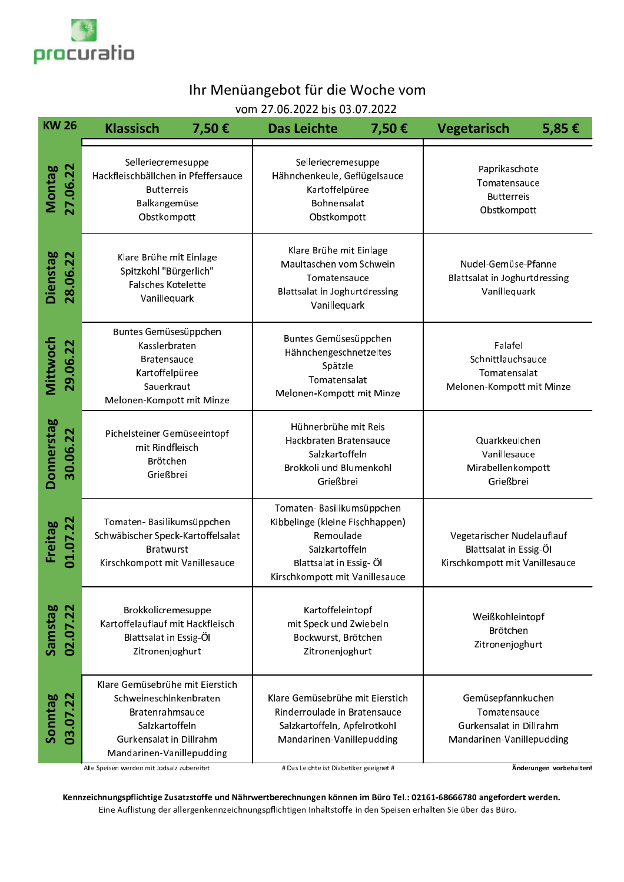

## Ihr Menüangebot für die Woche vom

vom 27.06.2022 bis 03.07.2022

| <b>KW 26</b>                | <b>Klassisch</b><br>7,50€                                                                                                                              | <b>Das Leichte</b>                                                                                                                                       | <b>Vegetarisch</b><br>7,50€                                                                                                                                             | 5,85€                                                                                     |  |
|-----------------------------|--------------------------------------------------------------------------------------------------------------------------------------------------------|----------------------------------------------------------------------------------------------------------------------------------------------------------|-------------------------------------------------------------------------------------------------------------------------------------------------------------------------|-------------------------------------------------------------------------------------------|--|
| <b>Montag</b><br>27.06.22   | Selleriecremesuppe<br>Hackfleischbällchen in Pfeffersauce<br><b>Butterreis</b><br>Balkangemüse<br>Obstkompott                                          |                                                                                                                                                          | Selleriecremesuppe<br>Paprikaschote<br>Hähnchenkeule, Geflügelsauce<br>Tomatensauce<br>Kartoffelpüree<br><b>Butterreis</b><br>Bohnensalat<br>Obstkompott<br>Obstkompott |                                                                                           |  |
| <b>Dienstag</b><br>28.06.22 | Klare Brühe mit Einlage<br>Spitzkohl "Bürgerlich"<br>Falsches Kotelette<br>Vanillequark                                                                | Klare Brühe mit Einlage<br>Maultaschen vom Schwein<br>Tomatensauce<br>Blattsalat in Joghurtdressing<br>Vanillequark                                      |                                                                                                                                                                         | Nudel-Gemüse-Pfanne<br>Blattsalat in Joghurtdressing<br>Vanillequark                      |  |
| Mittwoch<br>29.06.22        | Buntes Gemüsesüppchen<br>Kasslerbraten<br><b>Bratensauce</b><br>Kartoffelpüree<br>Sauerkraut<br>Melonen-Kompott mit Minze                              | Buntes Gemüsesüppchen<br>Hähnchengeschnetzeltes<br>Spätzle<br>Tomatensalat<br>Melonen-Kompott mit Minze                                                  |                                                                                                                                                                         | Falafel<br>Schnittlauchsauce<br>Tomatensalat<br>Melonen-Kompott mit Minze                 |  |
| Donnerstag<br>30.06.22      | Pichelsteiner Gemüseeintopf<br>mit Rindfleisch<br>Brötchen<br>Grießbrei                                                                                | Hühnerbrühe mit Reis<br>Hackbraten Bratensauce<br>Salzkartoffeln<br>Brokkoli und Blumenkohl<br>Grießbrei                                                 |                                                                                                                                                                         | Quarkkeulchen<br>Vanillesauce<br>Mirabellenkompott<br>Grießbrei                           |  |
| Freitag<br>01.07.22         | Tomaten-Basilikumsüppchen<br>Schwäbischer Speck-Kartoffelsalat<br><b>Bratwurst</b><br>Kirschkompott mit Vanillesauce                                   | Tomaten-Basilikumsüppchen<br>Kibbelinge (kleine Fischhappen)<br>Remoulade<br>Salzkartoffeln<br>Blattsalat in Essig- Öl<br>Kirschkompott mit Vanillesauce |                                                                                                                                                                         | Vegetarischer Nudelauflauf<br>Blattsalat in Essig-Öl<br>Kirschkompott mit Vanillesauce    |  |
| Samstag<br>02.07.22         | Brokkolicremesuppe<br>Kartoffelauflauf mit Hackfleisch<br>Blattsalat in Essig-Öl<br>Zitronenjoghurt                                                    | Kartoffeleintopf<br>mit Speck und Zwiebeln<br>Bockwurst, Brötchen<br>Zitronenjoghurt                                                                     |                                                                                                                                                                         | Weißkohleintopf<br>Brötchen<br>Zitronenjoghurt                                            |  |
| Sonntag<br>03.07.22         | Klare Gemüsebrühe mit Eierstich<br>Schweineschinkenbraten<br>Bratenrahmsauce<br>Salzkartoffeln<br>Gurkensalat in Dillrahm<br>Mandarinen-Vanillepudding | Klare Gemüsebrühe mit Eierstich<br>Rinderroulade in Bratensauce<br>Salzkartoffeln, Apfelrotkohl<br>Mandarinen-Vanillepudding                             |                                                                                                                                                                         | Gemüsepfannkuchen<br>Tomatensauce<br>Gurkensalat in Dillrahm<br>Mandarinen-Vanillepudding |  |

Alle Speisen werden mit Jodsalz zubereitet.

# Das Leichte ist Diabetiker geeignet #

Änderungen vorbehalten!

Kennzeichnungspflichtige Zusatzstoffe und Nährwertberechnungen können im Büro Tel.: 02161-68666780 angefordert werden. Eine Auflistung der allergenkennzeichnungspflichtigen Inhaltstoffe in den Speisen erhalten Sie über das Büro.